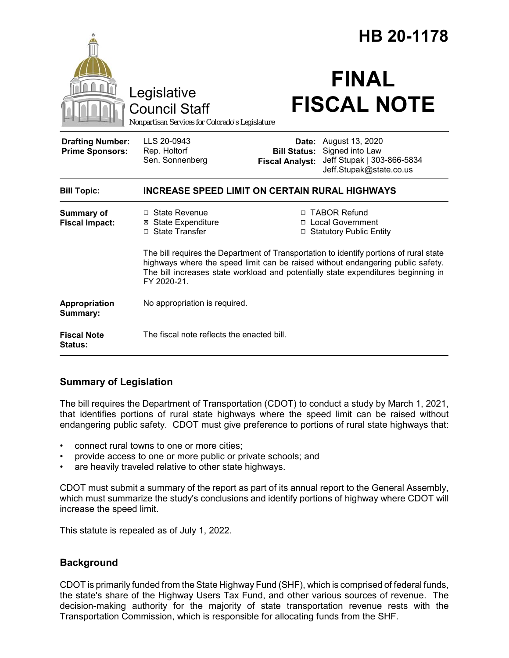|                                                   |                                                                                                                                                                                                                                                                               | HB 20-1178                                                        |                                                                                                          |
|---------------------------------------------------|-------------------------------------------------------------------------------------------------------------------------------------------------------------------------------------------------------------------------------------------------------------------------------|-------------------------------------------------------------------|----------------------------------------------------------------------------------------------------------|
|                                                   | Legislative<br><b>Council Staff</b><br>Nonpartisan Services for Colorado's Legislature                                                                                                                                                                                        |                                                                   | <b>FINAL</b><br><b>FISCAL NOTE</b>                                                                       |
| <b>Drafting Number:</b><br><b>Prime Sponsors:</b> | LLS 20-0943<br>Rep. Holtorf<br>Sen. Sonnenberg                                                                                                                                                                                                                                | <b>Bill Status:</b><br><b>Fiscal Analyst:</b>                     | <b>Date:</b> August 13, 2020<br>Signed into Law<br>Jeff Stupak   303-866-5834<br>Jeff.Stupak@state.co.us |
| <b>Bill Topic:</b>                                | <b>INCREASE SPEED LIMIT ON CERTAIN RURAL HIGHWAYS</b>                                                                                                                                                                                                                         |                                                                   |                                                                                                          |
| <b>Summary of</b><br><b>Fiscal Impact:</b>        | □ State Revenue<br><b>⊠</b> State Expenditure<br>□ State Transfer                                                                                                                                                                                                             | □ TABOR Refund<br>□ Local Government<br>□ Statutory Public Entity |                                                                                                          |
|                                                   | The bill requires the Department of Transportation to identify portions of rural state<br>highways where the speed limit can be raised without endangering public safety.<br>The bill increases state workload and potentially state expenditures beginning in<br>FY 2020-21. |                                                                   |                                                                                                          |
| Appropriation<br>Summary:                         | No appropriation is required.                                                                                                                                                                                                                                                 |                                                                   |                                                                                                          |
| <b>Fiscal Note</b><br><b>Status:</b>              | The fiscal note reflects the enacted bill.                                                                                                                                                                                                                                    |                                                                   |                                                                                                          |

# **Summary of Legislation**

The bill requires the Department of Transportation (CDOT) to conduct a study by March 1, 2021, that identifies portions of rural state highways where the speed limit can be raised without endangering public safety. CDOT must give preference to portions of rural state highways that:

- connect rural towns to one or more cities;
- provide access to one or more public or private schools; and
- are heavily traveled relative to other state highways.

CDOT must submit a summary of the report as part of its annual report to the General Assembly, which must summarize the study's conclusions and identify portions of highway where CDOT will increase the speed limit.

This statute is repealed as of July 1, 2022.

# **Background**

CDOT is primarily funded from the State Highway Fund (SHF), which is comprised of federal funds, the state's share of the Highway Users Tax Fund, and other various sources of revenue. The decision-making authority for the majority of state transportation revenue rests with the Transportation Commission, which is responsible for allocating funds from the SHF.